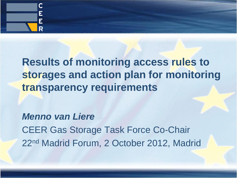

# **Results of monitoring access rules to storages and action plan for monitoring transparency requirements**

*Menno van Liere* CEER Gas Storage Task Force Co-Chair 22nd Madrid Forum, 2 October 2012, Madrid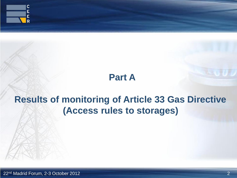

# **Part A**

# **Results of monitoring of Article 33 Gas Directive (Access rules to storages)**

22 2 nd Madrid Forum, 2-3 October 2012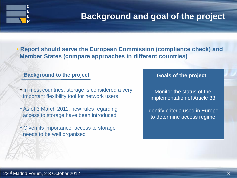

## **Background and goal of the project**

 **Report should serve the European Commission (compliance check) and Member States (compare approaches in different countries)**

#### **Background to the project Background to the project**

- In most countries, storage is considered a very important flexibility tool for network users
- As of 3 March 2011, new rules regarding access to storage have been introduced
- Given its importance, access to storage needs to be well organised

Monitor the status of the implementation of Article 33

Identify criteria used in Europe to determine access regime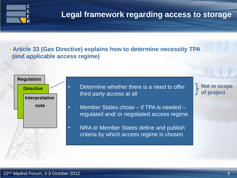

### **Legal framework regarding access to storage**

 **Article 33 (Gas Directive) explains how to determine necessity TPA (and applicable access regime)**



- Determine whether there is a need to offer third party access at all
- Member States chose if TPA is needed regulated and/ or negotiated access regime
	- NRA or Member States define and publish criteria by which access regime is chosen

**Not in scope of project**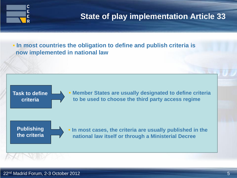

## **State of play implementation Article 33**

 **In most countries the obligation to define and publish criteria is now implemented in national law**

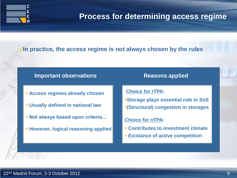

#### **Process for determining access regime**

#### **In practice, the access regime is not always chosen by the rules**

#### **Important observations Reasons applied**

- **Access regimes already chosen**
- **Usually defined in national law**
- **Not always based upon criteria…**
- **However, logical reasoning applied**

**Choice for rTPA:**

**Storage plays essential role in SoS (Structural) congestion in storages**

#### **Choice for nTPA:**

- **Contributes to investment climate**
- **Existance of active competition**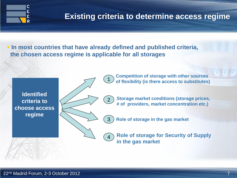

## **Existing criteria to determine access regime**

 **In most countries that have already defined and published criteria, the chosen access regime is applicable for all storages**

3

4

**Identified criteria to choose access regime**

1 **Competition of storage with other sources of flexibility (is there access to substitutes)**

**Storage market conditions (storage prices, # of providers, market concentration etc.)**  $\boxed{2}$ 

**Role of storage in the gas market**

**Role of storage for Security of Supply in the gas market**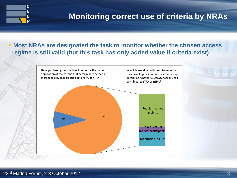

## **Monitoring correct use of criteria by NRAs**

#### **Most NRAs are designated the task to monitor whether the chosen access regime is still valid (but this task has only added value if criteria exist)**

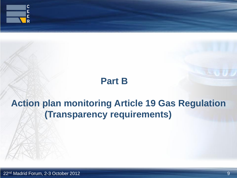

## **Part B**

# **Action plan monitoring Article 19 Gas Regulation (Transparency requirements)**

22 9 nd Madrid Forum, 2-3 October 2012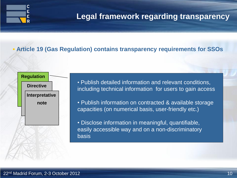### **Legal framework regarding transparency**

#### **Article 19 (Gas Regulation) contains transparency requirements for SSOs**



C Ė E

> • Publish detailed information and relevant conditions, including technical information for users to gain access

- Publish information on contracted & available storage capacities (on numerical basis, user-friendly etc.)
- Disclose information in meaningful, quantifiable, easily accessible way and on a non-discriminatory basis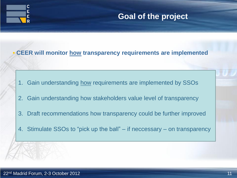

## **Goal of the project**

#### **CEER will monitor how transparency requirements are implemented**

- 1. Gain understanding how requirements are implemented by SSOs
- 2. Gain understanding how stakeholders value level of transparency
- 3. Draft recommendations how transparency could be further improved
- 4. Stimulate SSOs to "pick up the ball" if neccessary on transparency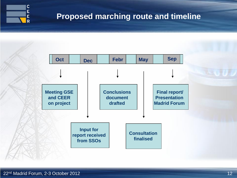

## **Proposed marching route and timeline**